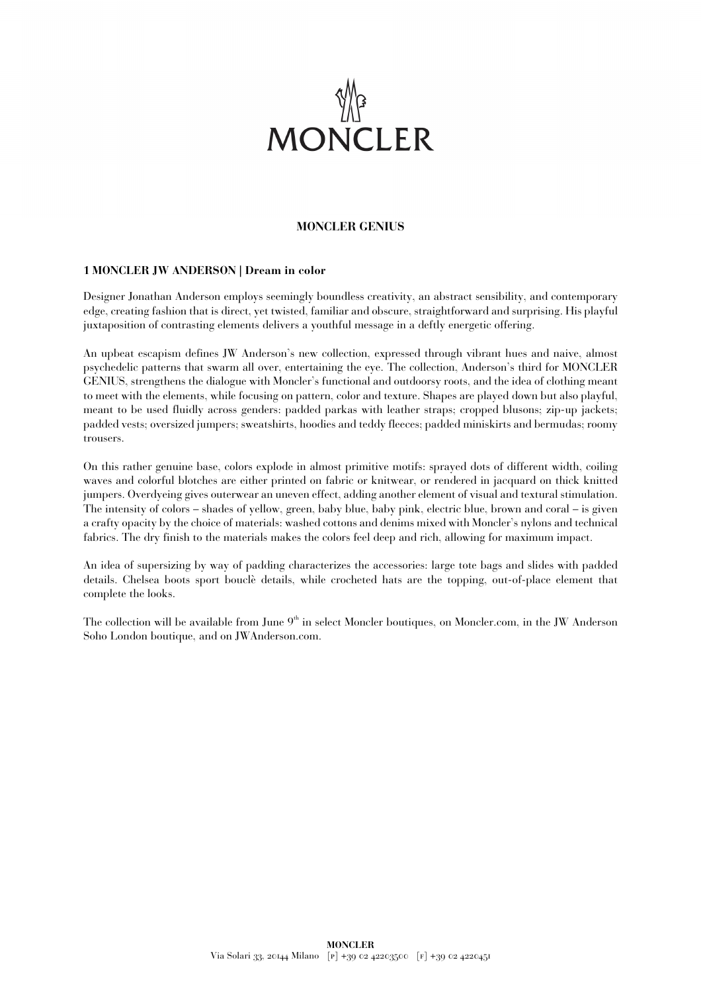

## **MONCLER GENIUS**

## **1 MONCLER JW ANDERSON | Dream in color**

Designer Jonathan Anderson employs seemingly boundless creativity, an abstract sensibility, and contemporary edge, creating fashion that is direct, yet twisted, familiar and obscure, straightforward and surprising. His playful juxtaposition of contrasting elements delivers a youthful message in a deftly energetic offering.

An upbeat escapism defines JW Anderson's new collection, expressed through vibrant hues and naive, almost psychedelic patterns that swarm all over, entertaining the eye. The collection, Anderson's third for MONCLER GENIUS, strengthens the dialogue with Moncler's functional and outdoorsy roots, and the idea of clothing meant to meet with the elements, while focusing on pattern, color and texture. Shapes are played down but also playful, meant to be used fluidly across genders: padded parkas with leather straps; cropped blusons; zip-up jackets; padded vests; oversized jumpers; sweatshirts, hoodies and teddy fleeces; padded miniskirts and bermudas; roomy trousers.

On this rather genuine base, colors explode in almost primitive motifs: sprayed dots of different width, coiling waves and colorful blotches are either printed on fabric or knitwear, or rendered in jacquard on thick knitted jumpers. Overdyeing gives outerwear an uneven effect, adding another element of visual and textural stimulation. The intensity of colors – shades of yellow, green, baby blue, baby pink, electric blue, brown and coral – is given a crafty opacity by the choice of materials: washed cottons and denims mixed with Moncler's nylons and technical fabrics. The dry finish to the materials makes the colors feel deep and rich, allowing for maximum impact.

An idea of supersizing by way of padding characterizes the accessories: large tote bags and slides with padded details. Chelsea boots sport bouclè details, while crocheted hats are the topping, out-of-place element that complete the looks.

The collection will be available from June 9<sup>th</sup> in select Moncler boutiques, on Moncler.com, in the JW Anderson Soho London boutique, and on JWAnderson.com.